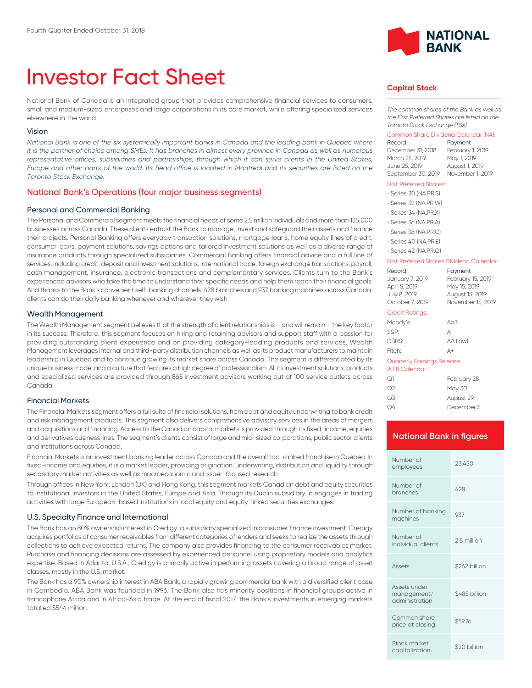# Investor Fact Sheet

National Bank of Canada is an integrated group that provides comprehensive financial services to consumers, small and medium-sized enterprises and large corporations in its core market, while offering specialized services elsewhere in the world.

#### Vision

*National Bank is one of the six systemically important banks in Canada and the leading bank in Quebec where it is the partner of choice among SMEs. It has branches in almost every province in Canada as well as numerous* representative offices, subsidiaries and partnerships, through which it can serve clients in the United States, *Europe and other parts of the world. Its head office is located in Montreal and its securities are listed on the Toronto Stock Exchange.*

#### National Bank's Operations (four major business segments)

#### Personal and Commercial Banking

The Personal and Commercial segment meets the financial needs of some 2.5 million individuals and more than 135,000 businesses across Canada. These clients entrust the Bank to manage, invest and safeguard their assets and finance their projects. Personal Banking offers everyday transaction solutions, mortgage loans, home equity lines of credit, consumer loans, payment solutions, savings options and tailored investment solutions as well as a diverse range of insurance products through specialized subsidiaries. Commercial Banking offers financial advice and a full line of services, including credit, deposit and investment solutions, international trade, foreign exchange transactions, payroll, cash management, insurance, electronic transactions and complementary services. Clients turn to the Bank's experienced advisors who take the time to understand their specific needs and help them reach their financial goals. And thanks to the Bank's convenient self-banking channels, 428 branches and 937 banking machines across Canada, clients can do their daily banking whenever and wherever they wish.

#### Wealth Management

The Wealth Management segment believes that the strength of client relationships is – and will remain – the key factor in its success. Therefore, this segment focuses on hiring and retaining advisors and support staff with a passion for providing outstanding client experience and on providing category-leading products and services. Wealth Management leverages internal and third-party distribution channels as well as its product manufacturers to maintain leadership in Quebec and to continue growing its market share across Canada. The segment is differentiated by its unique business model and a culture that features a high degree of professionalism. All its investment solutions, products and specialized services are provided through 865 investment advisors working out of 100 service outlets across Canada.

#### Financial Markets

The Financial Markets segment offers a full suite of financial solutions, from debt and equity underwriting to bank credit and risk management products. This segment also delivers comprehensive advisory services in the areas of mergers and acquisitions and financing. Access to the Canadian capital markets is provided through its fixed-income, equities and derivatives business lines. The segment's clients consist of large and mid-sized corporations, public sector clients and institutions across Canada.

Financial Markets is an investment banking leader across Canada and the overall top-ranked franchise in Quebec. In fixed-income and equities, it is a market leader, providing origination, underwriting, distribution and liquidity through secondary market activities as well as macroeconomic and issuer-focused research.

Through offices in New York, London (UK) and Hong Kong, this segment markets Canadian debt and equity securities to institutional investors in the United States, Europe and Asia. Through its Dublin subsidiary, it engages in trading activities with large European-based institutions in local equity and equity-linked securities exchanges.

#### U.S. Specialty Finance and International

The Bank has an 80% ownership interest in Credigy, a subsidiary specialized in consumer finance investment. Credigy acquires portfolios of consumer receivables from different categories of lenders and seeks to realize the assets through collections to achieve expected returns. The company also provides financing to the consumer receivables market. Purchase and financing decisions are assessed by experienced personnel using proprietary models and analytics expertise. Based in Atlanta, U.S.A., Credigy is primarily active in performing assets covering a broad range of asset classes, mostly in the U.S. market.

The Bank has a 90% ownership interest in ABA Bank, a rapidly growing commercial bank with a diversified client base in Cambodia. ABA Bank was founded in 1996. The Bank also has minority positions in financial groups active in francophone Africa and in Africa-Asia trade. At the end of fiscal 2017, the Bank's investments in emerging markets totalled \$544 million.



## **Capital Stock**

*The common shares of the Bank as well as the First Preferred Shares are listed on the Toronto Stock Exchange (TSX).*

#### Common Share Dividend Calendar (NA):

| Record             | Payment          |
|--------------------|------------------|
| December 31, 2018  | February 1, 2019 |
| March 25, 2019     | May 1, 2019      |
| June 25, 2019      | August 1, 2019   |
| September 30, 2019 | November 1, 2019 |

#### First Preferred Shares:

| Series 30 (NA.PR.S)   |
|-----------------------|
| Series 32 (NA.PR.W)   |
| Series 34 (NA.PR.X)   |
| Series 36 (NA, PR, A) |
| Series 38 (NA, PR, C) |
| Series 40 (NA.PR.E)   |
| Series 42 (NA.PR.G)   |

#### First Preferred Shares Dividend Calendar:

| Record                                       | Payment                           |
|----------------------------------------------|-----------------------------------|
| January 7, 2019<br>April 5, 2019             | February 15, 2019<br>May 15, 2019 |
| July 8, 2019                                 | August 15, 2019                   |
| October 7, 2019                              | November 15, 2019                 |
| Credit Ratings:                              |                                   |
| Moody's:                                     | A <sub>0</sub> 3                  |
| S&P:                                         | А                                 |
| DBRS:                                        | AA (low)                          |
| Fitch:                                       | Д+                                |
| Quarterly Earnings Release<br>2018 Calendar: |                                   |

| ೧1 | February 28 |
|----|-------------|
| Q2 | May 30      |
| Q3 | August 29   |
| Q4 | December 5  |

#### **National Bank in figures**

| Number of<br>employees                        | 23,450        |
|-----------------------------------------------|---------------|
| Number of<br>branches                         | 428           |
| Number of banking<br>machines                 | 937           |
| Number of<br>individual clients               | 2.5 million   |
| Assets                                        | \$262 billion |
| Assets under<br>management/<br>administration | \$485 billion |
| Common share<br>price at closing              | \$59.76       |
| Stock market<br>capitalization                | \$20 billion  |